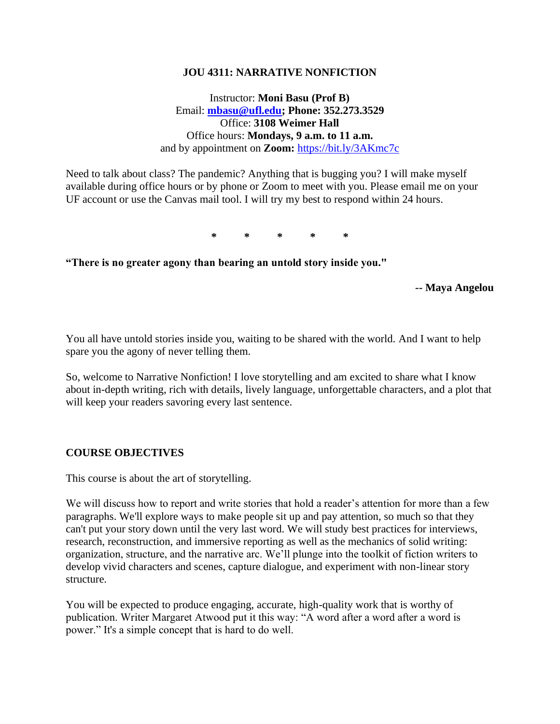### **JOU 4311: NARRATIVE NONFICTION**

Instructor: **Moni Basu (Prof B)** Email: **[mbasu@ufl.edu;](mailto:mbasu@ufl.edu) Phone: 352.273.3529** Office: **3108 Weimer Hall** Office hours: **Mondays, 9 a.m. to 11 a.m.**  and by appointment on **Zoom:** <https://bit.ly/3AKmc7c>

Need to talk about class? The pandemic? Anything that is bugging you? I will make myself available during office hours or by phone or Zoom to meet with you. Please email me on your UF account or use the Canvas mail tool. I will try my best to respond within 24 hours.

**\* \* \* \* \***

**"There is no greater agony than bearing an untold story inside you."** 

**-- Maya Angelou**

You all have untold stories inside you, waiting to be shared with the world. And I want to help spare you the agony of never telling them.

So, welcome to Narrative Nonfiction! I love storytelling and am excited to share what I know about in-depth writing, rich with details, lively language, unforgettable characters, and a plot that will keep your readers savoring every last sentence.

### **COURSE OBJECTIVES**

This course is about the art of storytelling.

We will discuss how to report and write stories that hold a reader's attention for more than a few paragraphs. We'll explore ways to make people sit up and pay attention, so much so that they can't put your story down until the very last word. We will study best practices for interviews, research, reconstruction, and immersive reporting as well as the mechanics of solid writing: organization, structure, and the narrative arc. We'll plunge into the toolkit of fiction writers to develop vivid characters and scenes, capture dialogue, and experiment with non-linear story structure.

You will be expected to produce engaging, accurate, high-quality work that is worthy of publication. Writer Margaret Atwood put it this way: "A word after a word after a word is power." It's a simple concept that is hard to do well.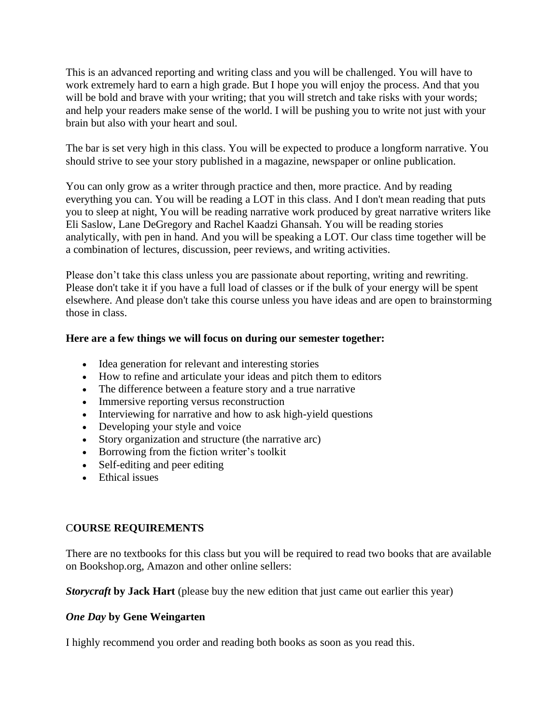This is an advanced reporting and writing class and you will be challenged. You will have to work extremely hard to earn a high grade. But I hope you will enjoy the process. And that you will be bold and brave with your writing; that you will stretch and take risks with your words; and help your readers make sense of the world. I will be pushing you to write not just with your brain but also with your heart and soul.

The bar is set very high in this class. You will be expected to produce a longform narrative. You should strive to see your story published in a magazine, newspaper or online publication.

You can only grow as a writer through practice and then, more practice. And by reading everything you can. You will be reading a LOT in this class. And I don't mean reading that puts you to sleep at night, You will be reading narrative work produced by great narrative writers like Eli Saslow, Lane DeGregory and Rachel Kaadzi Ghansah. You will be reading stories analytically, with pen in hand. And you will be speaking a LOT. Our class time together will be a combination of lectures, discussion, peer reviews, and writing activities.

Please don't take this class unless you are passionate about reporting, writing and rewriting. Please don't take it if you have a full load of classes or if the bulk of your energy will be spent elsewhere. And please don't take this course unless you have ideas and are open to brainstorming those in class.

## **Here are a few things we will focus on during our semester together:**

- Idea generation for relevant and interesting stories
- How to refine and articulate your ideas and pitch them to editors
- The difference between a feature story and a true narrative
- Immersive reporting versus reconstruction
- Interviewing for narrative and how to ask high-yield questions
- Developing your style and voice
- Story organization and structure (the narrative arc)
- Borrowing from the fiction writer's toolkit
- Self-editing and peer editing
- Ethical issues

# C**OURSE REQUIREMENTS**

There are no textbooks for this class but you will be required to read two books that are available on Bookshop.org, Amazon and other online sellers:

*Storycraft* **by Jack Hart** (please buy the new edition that just came out earlier this year)

### *One Day* **by Gene Weingarten**

I highly recommend you order and reading both books as soon as you read this.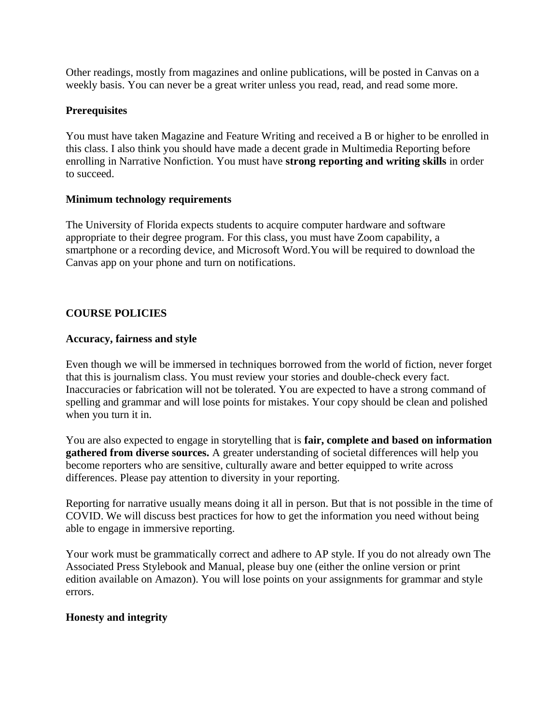Other readings, mostly from magazines and online publications, will be posted in Canvas on a weekly basis. You can never be a great writer unless you read, read, and read some more.

# **Prerequisites**

You must have taken Magazine and Feature Writing and received a B or higher to be enrolled in this class. I also think you should have made a decent grade in Multimedia Reporting before enrolling in Narrative Nonfiction. You must have **strong reporting and writing skills** in order to succeed.

### **Minimum technology requirements**

The University of Florida expects students to acquire computer hardware and software appropriate to their degree program. For this class, you must have Zoom capability, a smartphone or a recording device, and Microsoft Word.You will be required to download the Canvas app on your phone and turn on notifications.

# **COURSE POLICIES**

## **Accuracy, fairness and style**

Even though we will be immersed in techniques borrowed from the world of fiction, never forget that this is journalism class. You must review your stories and double-check every fact. Inaccuracies or fabrication will not be tolerated. You are expected to have a strong command of spelling and grammar and will lose points for mistakes. Your copy should be clean and polished when you turn it in.

You are also expected to engage in storytelling that is **fair, complete and based on information gathered from diverse sources.** A greater understanding of societal differences will help you become reporters who are sensitive, culturally aware and better equipped to write across differences. Please pay attention to diversity in your reporting.

Reporting for narrative usually means doing it all in person. But that is not possible in the time of COVID. We will discuss best practices for how to get the information you need without being able to engage in immersive reporting.

Your work must be grammatically correct and adhere to AP style. If you do not already own The Associated Press Stylebook and Manual, please buy one (either the online version or print edition available on Amazon). You will lose points on your assignments for grammar and style errors.

# **Honesty and integrity**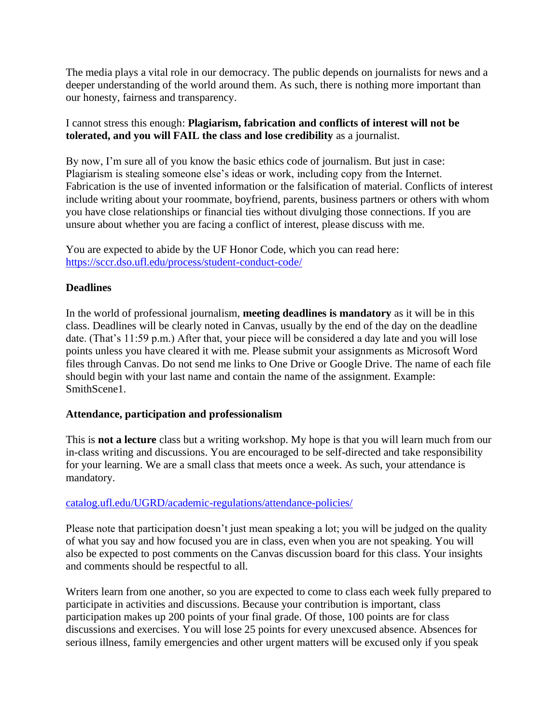The media plays a vital role in our democracy. The public depends on journalists for news and a deeper understanding of the world around them. As such, there is nothing more important than our honesty, fairness and transparency.

I cannot stress this enough: **Plagiarism, fabrication and conflicts of interest will not be tolerated, and you will FAIL the class and lose credibility** as a journalist.

By now, I'm sure all of you know the basic ethics code of journalism. But just in case: Plagiarism is stealing someone else's ideas or work, including copy from the Internet. Fabrication is the use of invented information or the falsification of material. Conflicts of interest include writing about your roommate, boyfriend, parents, business partners or others with whom you have close relationships or financial ties without divulging those connections. If you are unsure about whether you are facing a conflict of interest, please discuss with me.

You are expected to abide by the UF Honor Code, which you can read here: <https://sccr.dso.ufl.edu/process/student-conduct-code/>

# **Deadlines**

In the world of professional journalism, **meeting deadlines is mandatory** as it will be in this class. Deadlines will be clearly noted in Canvas, usually by the end of the day on the deadline date. (That's 11:59 p.m.) After that, your piece will be considered a day late and you will lose points unless you have cleared it with me. Please submit your assignments as Microsoft Word files through Canvas. Do not send me links to One Drive or Google Drive. The name of each file should begin with your last name and contain the name of the assignment. Example: SmithScene1.

### **Attendance, participation and professionalism**

This is **not a lecture** class but a writing workshop. My hope is that you will learn much from our in-class writing and discussions. You are encouraged to be self-directed and take responsibility for your learning. We are a small class that meets once a week. As such, your attendance is mandatory.

### [catalog.ufl.edu/UGRD/academic-regulations/attendance-policies/](http://catalog.ufl.edu/UGRD/academic-regulations/attendance-policies/)

Please note that participation doesn't just mean speaking a lot; you will be judged on the quality of what you say and how focused you are in class, even when you are not speaking. You will also be expected to post comments on the Canvas discussion board for this class. Your insights and comments should be respectful to all.

Writers learn from one another, so you are expected to come to class each week fully prepared to participate in activities and discussions. Because your contribution is important, class participation makes up 200 points of your final grade. Of those, 100 points are for class discussions and exercises. You will lose 25 points for every unexcused absence. Absences for serious illness, family emergencies and other urgent matters will be excused only if you speak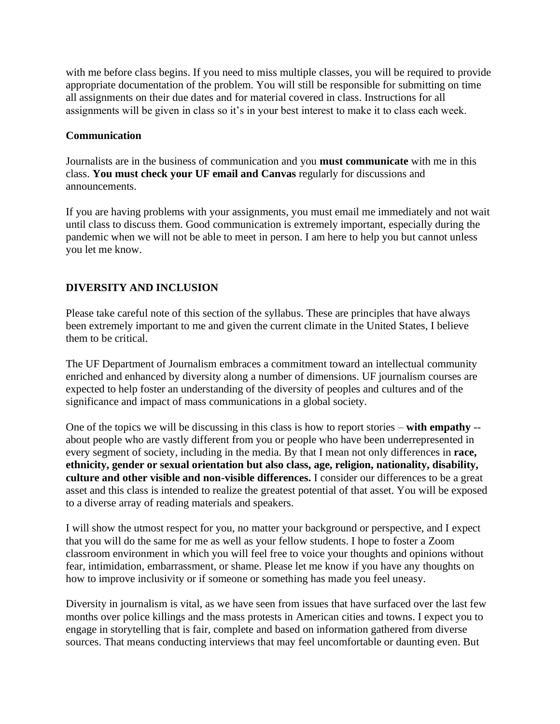with me before class begins. If you need to miss multiple classes, you will be required to provide appropriate documentation of the problem. You will still be responsible for submitting on time all assignments on their due dates and for material covered in class. Instructions for all assignments will be given in class so it's in your best interest to make it to class each week.

## **Communication**

Journalists are in the business of communication and you **must communicate** with me in this class. **You must check your UF email and Canvas** regularly for discussions and announcements.

If you are having problems with your assignments, you must email me immediately and not wait until class to discuss them. Good communication is extremely important, especially during the pandemic when we will not be able to meet in person. I am here to help you but cannot unless you let me know.

# **DIVERSITY AND INCLUSION**

Please take careful note of this section of the syllabus. These are principles that have always been extremely important to me and given the current climate in the United States, I believe them to be critical.

The UF Department of Journalism embraces a commitment toward an intellectual community enriched and enhanced by diversity along a number of dimensions. UF journalism courses are expected to help foster an understanding of the diversity of peoples and cultures and of the significance and impact of mass communications in a global society.

One of the topics we will be discussing in this class is how to report stories – **with empathy** - about people who are vastly different from you or people who have been underrepresented in every segment of society, including in the media. By that I mean not only differences in **race, ethnicity, gender or sexual orientation but also class, age, religion, nationality, disability, culture and other visible and non-visible differences.** I consider our differences to be a great asset and this class is intended to realize the greatest potential of that asset. You will be exposed to a diverse array of reading materials and speakers.

I will show the utmost respect for you, no matter your background or perspective, and I expect that you will do the same for me as well as your fellow students. I hope to foster a Zoom classroom environment in which you will feel free to voice your thoughts and opinions without fear, intimidation, embarrassment, or shame. Please let me know if you have any thoughts on how to improve inclusivity or if someone or something has made you feel uneasy.

Diversity in journalism is vital, as we have seen from issues that have surfaced over the last few months over police killings and the mass protests in American cities and towns. I expect you to engage in storytelling that is fair, complete and based on information gathered from diverse sources. That means conducting interviews that may feel uncomfortable or daunting even. But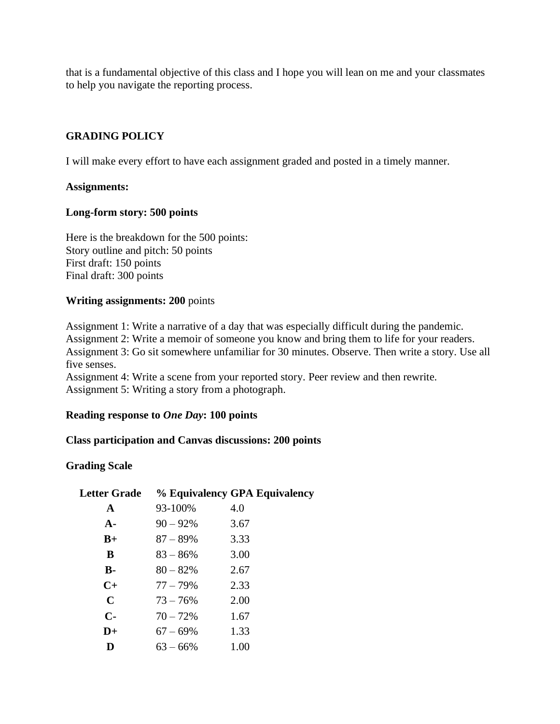that is a fundamental objective of this class and I hope you will lean on me and your classmates to help you navigate the reporting process.

# **GRADING POLICY**

I will make every effort to have each assignment graded and posted in a timely manner.

### **Assignments:**

#### **Long-form story: 500 points**

Here is the breakdown for the 500 points: Story outline and pitch: 50 points First draft: 150 points Final draft: 300 points

#### **Writing assignments: 200** points

Assignment 1: Write a narrative of a day that was especially difficult during the pandemic.

Assignment 2: Write a memoir of someone you know and bring them to life for your readers. Assignment 3: Go sit somewhere unfamiliar for 30 minutes. Observe. Then write a story. Use all five senses.

Assignment 4: Write a scene from your reported story. Peer review and then rewrite. Assignment 5: Writing a story from a photograph.

### **Reading response to** *One Day***: 100 points**

### **Class participation and Canvas discussions: 200 points**

### **Grading Scale**

| <b>Letter Grade</b> |             | % Equivalency GPA Equivalency |
|---------------------|-------------|-------------------------------|
| $\mathbf{A}$        | 93-100%     | 4.0                           |
| $A-$                | $90 - 92\%$ | 3.67                          |
| $B+$                | $87 - 89\%$ | 3.33                          |
| B                   | $83 - 86\%$ | 3.00                          |
| <b>B-</b>           | $80 - 82%$  | 2.67                          |
| $C+$                | $77 - 79\%$ | 2.33                          |
| $\mathbf C$         | $73 - 76%$  | 2.00                          |
| $C-$                | $70 - 72%$  | 1.67                          |
| $D+$                | $67 - 69\%$ | 1.33                          |
| D                   | $63 - 66\%$ | 1.00                          |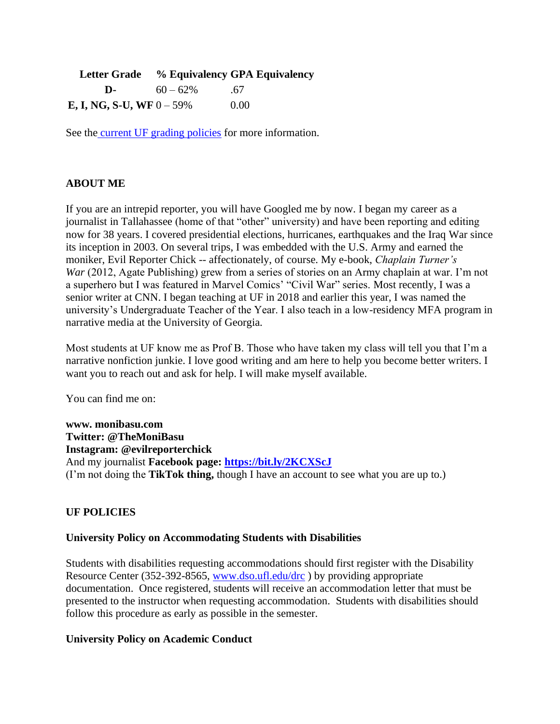|                                     |             | Letter Grade % Equivalency GPA Equivalency |
|-------------------------------------|-------------|--------------------------------------------|
| D-                                  | $60 - 62\%$ | -67                                        |
| <b>E, I, NG, S-U, WF</b> $0 - 59\%$ |             | 0.00                                       |

See the [current UF grading policies](https://catalog.ufl.edu/ugrad/current/regulations/info/grades.aspx) for more information.

## **ABOUT ME**

If you are an intrepid reporter, you will have Googled me by now. I began my career as a journalist in Tallahassee (home of that "other" university) and have been reporting and editing now for 38 years. I covered presidential elections, hurricanes, earthquakes and the Iraq War since its inception in 2003. On several trips, I was embedded with the U.S. Army and earned the moniker, Evil Reporter Chick -- affectionately, of course. My e-book, *Chaplain Turner's War* (2012, Agate Publishing) grew from a series of stories on an Army chaplain at war. I'm not a superhero but I was featured in Marvel Comics' "Civil War" series. Most recently, I was a senior writer at CNN. I began teaching at UF in 2018 and earlier this year, I was named the university's Undergraduate Teacher of the Year. I also teach in a low-residency MFA program in narrative media at the University of Georgia.

Most students at UF know me as Prof B. Those who have taken my class will tell you that I'm a narrative nonfiction junkie. I love good writing and am here to help you become better writers. I want you to reach out and ask for help. I will make myself available.

You can find me on:

**www. monibasu.com Twitter: @TheMoniBasu Instagram: @evilreporterchick** And my journalist **Facebook page:<https://bit.ly/2KCXScJ>** (I'm not doing the **TikTok thing,** though I have an account to see what you are up to.)

### **UF POLICIES**

### **University Policy on Accommodating Students with Disabilities**

Students with disabilities requesting accommodations should first register with the Disability Resource Center (352-392-8565, [www.dso.ufl.edu/drc](http://www.dso.ufl.edu/drc) ) by providing appropriate documentation. Once registered, students will receive an accommodation letter that must be presented to the instructor when requesting accommodation. Students with disabilities should follow this procedure as early as possible in the semester.

#### **University Policy on Academic Conduct**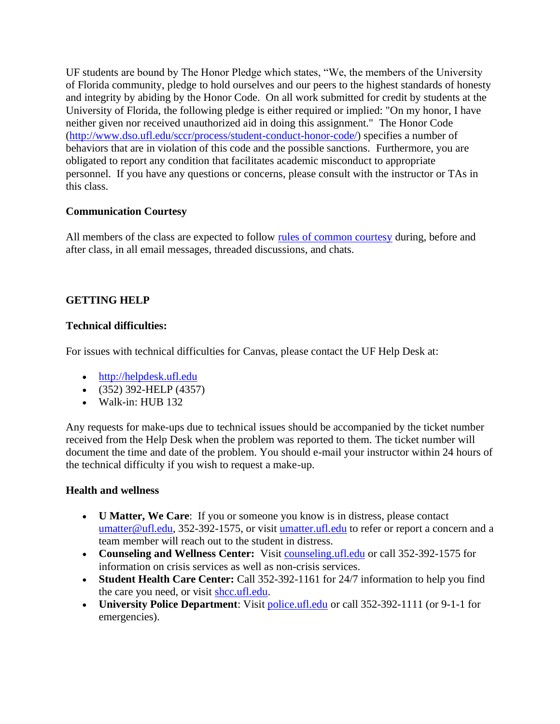UF students are bound by The Honor Pledge which states, "We, the members of the University of Florida community, pledge to hold ourselves and our peers to the highest standards of honesty and integrity by abiding by the Honor Code. On all work submitted for credit by students at the University of Florida, the following pledge is either required or implied: "On my honor, I have neither given nor received unauthorized aid in doing this assignment." The Honor Code [\(http://www.dso.ufl.edu/sccr/process/student-conduct-honor-code/\)](http://www.dso.ufl.edu/sccr/process/student-conduct-honor-code/) specifies a number of behaviors that are in violation of this code and the possible sanctions. Furthermore, you are obligated to report any condition that facilitates academic misconduct to appropriate personnel. If you have any questions or concerns, please consult with the instructor or TAs in this class.

# **Communication Courtesy**

All members of the class are expected to follow [rules of common courtesy](http://teach.ufl.edu/wp-content/uploads/2012/08/NetiquetteGuideforOnlineCourses.pdf) during, before and after class, in all email messages, threaded discussions, and chats.

# **GETTING HELP**

## **Technical difficulties:**

For issues with technical difficulties for Canvas, please contact the UF Help Desk at:

- [http://helpdesk.ufl.edu](http://helpdesk.ufl.edu/)
- (352) 392-HELP (4357)
- Walk-in: HUB 132

Any requests for make-ups due to technical issues should be accompanied by the ticket number received from the Help Desk when the problem was reported to them. The ticket number will document the time and date of the problem. You should e-mail your instructor within 24 hours of the technical difficulty if you wish to request a make-up.

### **Health and wellness**

- **U Matter, We Care**: If you or someone you know is in distress, please contact [umatter@ufl.edu,](mailto:umatter@ufl.edu) 352-392-1575, or visit [umatter.ufl.edu](http://umatter.ufl.edu/) to refer or report a concern and a team member will reach out to the student in distress.
- **Counseling and Wellness Center:** Visit [counseling.ufl.edu](http://counseling.ufl.edu/) or call 352-392-1575 for information on crisis services as well as non-crisis services.
- **Student Health Care Center:** Call 352-392-1161 for 24/7 information to help you find the care you need, or visit [shcc.ufl.edu.](http://shcc.ufl.edu/)
- **University Police Department**: Visit [police.ufl.edu](http://police.ufl.edu/) or call 352-392-1111 (or 9-1-1 for emergencies).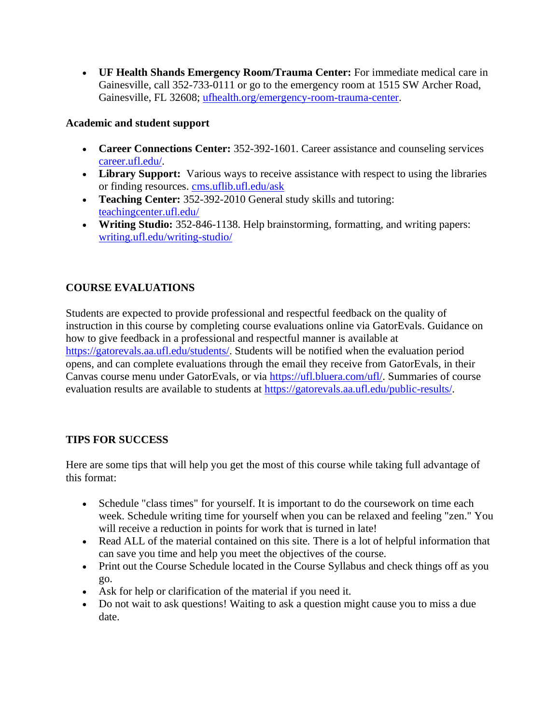• **UF Health Shands Emergency Room/Trauma Center:** For immediate medical care in Gainesville, call 352-733-0111 or go to the emergency room at 1515 SW Archer Road, Gainesville, FL 32608; [ufhealth.org/emergency-room-trauma-center.](http://ufhealth.org/emergency-room-trauma-center)

# **Academic and student support**

- **Career Connections Center:** 352-392-1601. Career assistance and counseling services [career.ufl.edu/.](http://career.ufl.edu/)
- **Library Support:** Various ways to receive assistance with respect to using the libraries or finding resources. [cms.uflib.ufl.edu/ask](http://cms.uflib.ufl.edu/ask)
- **Teaching Center:** 352-392-2010 General study skills and tutoring: [teachingcenter.ufl.edu/](http://teachingcenter.ufl.edu/)
- **Writing Studio:** 352-846-1138. Help brainstorming, formatting, and writing papers: [writing.ufl.edu/writing-studio/](http://writing.ufl.edu/writing-studio/)

# **COURSE EVALUATIONS**

Students are expected to provide professional and respectful feedback on the quality of instruction in this course by completing course evaluations online via GatorEvals. Guidance on how to give feedback in a professional and respectful manner is available at [https://gatorevals.aa.ufl.edu/students/.](https://gatorevals.aa.ufl.edu/students/) Students will be notified when the evaluation period opens, and can complete evaluations through the email they receive from GatorEvals, in their Canvas course menu under GatorEvals, or via [https://ufl.bluera.com/ufl/.](https://urldefense.proofpoint.com/v2/url?u=https-3A__ufl.bluera.com_ufl_&d=DwMFAg&c=sJ6xIWYx-zLMB3EPkvcnVg&r=y2HjEMjRMHJhfdvLrqJZlYczRsfp5e4TfQjHuc5rVHg&m=WXko6OK_Ha6T00ZVAsEaSh99qRXHOgMNFRywCoehRho&s=itVU46DDJjnIg4CW6efJOOLgPjdzsPvCghyfzJoFONs&e=) Summaries of course evaluation results are available to students at [https://gatorevals.aa.ufl.edu/public-results/.](https://gatorevals.aa.ufl.edu/public-results/)

# **TIPS FOR SUCCESS**

Here are some tips that will help you get the most of this course while taking full advantage of this format:

- Schedule "class times" for yourself. It is important to do the coursework on time each week. Schedule writing time for yourself when you can be relaxed and feeling "zen." You will receive a reduction in points for work that is turned in late!
- Read ALL of the material contained on this site. There is a lot of helpful information that can save you time and help you meet the objectives of the course.
- Print out the Course Schedule located in the Course Syllabus and check things off as you go.
- Ask for help or clarification of the material if you need it.
- Do not wait to ask questions! Waiting to ask a question might cause you to miss a due date.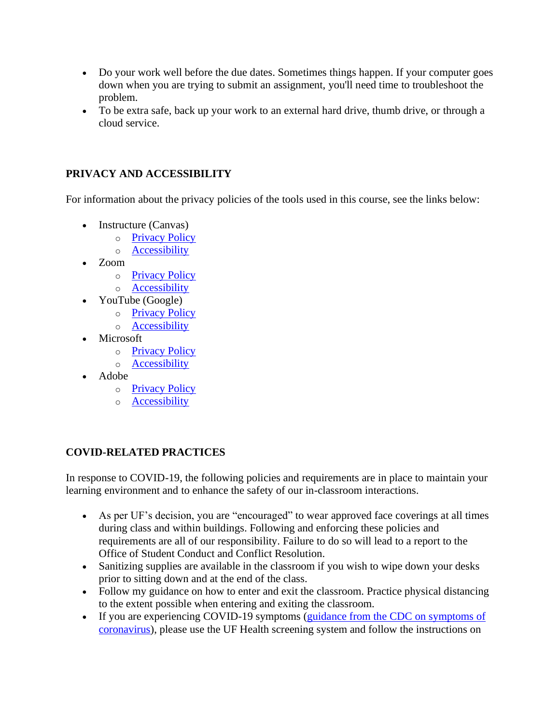- Do your work well before the due dates. Sometimes things happen. If your computer goes down when you are trying to submit an assignment, you'll need time to troubleshoot the problem.
- To be extra safe, back up your work to an external hard drive, thumb drive, or through a cloud service.

# **PRIVACY AND ACCESSIBILITY**

For information about the privacy policies of the tools used in this course, see the links below:

- Instructure (Canvas)
	- o [Privacy Policy](https://www.instructure.com/policies/privacy)
		- o [Accessibility](https://www.instructure.com/canvas/accessibility)
- Zoom
	- o [Privacy Policy](https://zoom.us/privacy)
	- o [Accessibility](https://zoom.us/accessibility)
- YouTube (Google)
	- o [Privacy Policy](https://policies.google.com/privacy)
	- o [Accessibility](https://support.google.com/youtube/answer/189278?hl=en)
- Microsoft
	- o [Privacy Policy](https://privacy.microsoft.com/en-us/privacystatement)
	- o [Accessibility](https://www.microsoft.com/en-us/accessibility/office?activetab=pivot_1%3aprimaryr2)
- Adobe
	- o [Privacy Policy](https://www.adobe.com/privacy/policy.html)
	- o [Accessibility](https://www.adobe.com/accessibility.html)

# **COVID-RELATED PRACTICES**

In response to COVID-19, the following policies and requirements are in place to maintain your learning environment and to enhance the safety of our in-classroom interactions.

- As per UF's decision, you are "encouraged" to wear approved face coverings at all times during class and within buildings. Following and enforcing these policies and requirements are all of our responsibility. Failure to do so will lead to a report to the Office of Student Conduct and Conflict Resolution.
- Sanitizing supplies are available in the classroom if you wish to wipe down your desks prior to sitting down and at the end of the class.
- Follow my guidance on how to enter and exit the classroom. Practice physical distancing to the extent possible when entering and exiting the classroom.
- If you are experiencing COVID-19 symptoms (guidance from the CDC on symptoms of [coronavirus\)](https://www.cdc.gov/coronavirus/2019-ncov/symptoms-testing/symptoms.html), please use the UF Health screening system and follow the instructions on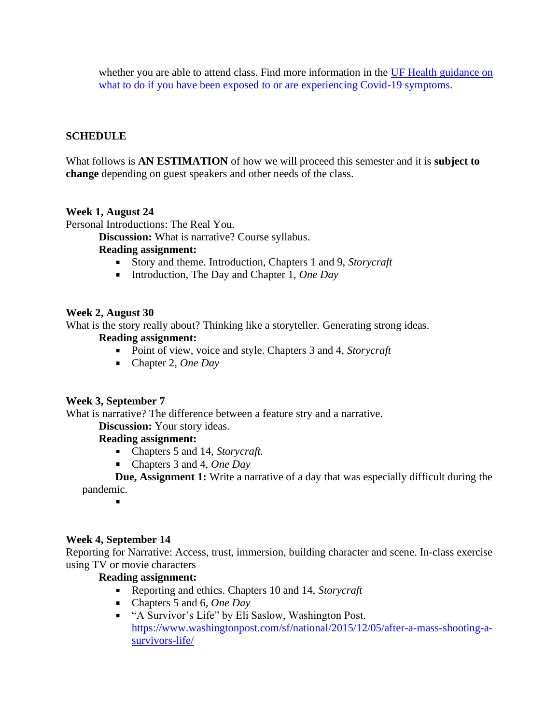whether you are able to attend class. Find more information in the UF Health guidance on [what to do if you have been exposed to or are experiencing Covid-19 symptoms.](https://coronavirus.ufhealth.org/screen-test-protect/covid-19-exposure-and-symptoms-who-do-i-call-if/)

# **SCHEDULE**

What follows is **AN ESTIMATION** of how we will proceed this semester and it is **subject to change** depending on guest speakers and other needs of the class.

### **Week 1, August 24**

Personal Introductions: The Real You.

**Discussion:** What is narrative? Course syllabus.

#### **Reading assignment:**

- Story and theme. Introduction, Chapters 1 and 9, *Storycraft*
- Introduction, The Day and Chapter 1, *One Day*

### **Week 2, August 30**

What is the story really about? Thinking like a storyteller. Generating strong ideas.

#### **Reading assignment:**

- **Point of view, voice and style. Chapters 3 and 4,** *Storycraft*
- Chapter 2, *One Day*

### **Week 3, September 7**

What is narrative? The difference between a feature stry and a narrative.

**Discussion:** Your story ideas.

## **Reading assignment:**

- Chapters 5 and 14, *Storycraft.*
- Chapters 3 and 4, *One Day*

**Due, Assignment 1:** Write a narrative of a day that was especially difficult during the pandemic.

### **Week 4, September 14**

Reporting for Narrative: Access, trust, immersion, building character and scene. In-class exercise using TV or movie characters

### **Reading assignment:**

- Reporting and ethics. Chapters 10 and 14, *Storycraft*
- $\mathbf{u}$ Chapters 5 and 6*, One Day*
- " "A Survivor's Life" by Eli Saslow, Washington Post. [https://www.washingtonpost.com/sf/national/2015/12/05/after-a-mass-shooting-a](https://www.washingtonpost.com/sf/national/2015/12/05/after-a-mass-shooting-a-survivors-life/)[survivors-life/](https://www.washingtonpost.com/sf/national/2015/12/05/after-a-mass-shooting-a-survivors-life/)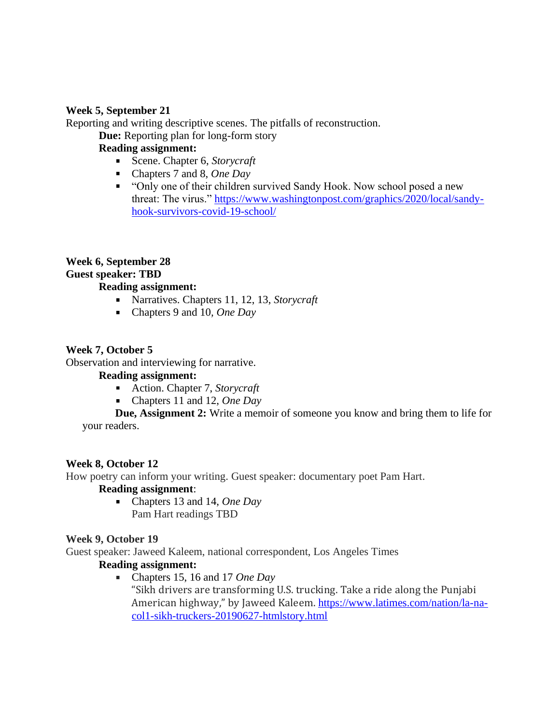## **Week 5, September 21**

Reporting and writing descriptive scenes. The pitfalls of reconstruction.

**Due:** Reporting plan for long-form story

# **Reading assignment:**

- Scene. Chapter 6, *Storycraft*
- Chapters 7 and 8, *One Day*
- " "Only one of their children survived Sandy Hook. Now school posed a new threat: The virus." [https://www.washingtonpost.com/graphics/2020/local/sandy](https://www.washingtonpost.com/graphics/2020/local/sandy-hook-survivors-covid-19-school/)[hook-survivors-covid-19-school/](https://www.washingtonpost.com/graphics/2020/local/sandy-hook-survivors-covid-19-school/)

### **Week 6, September 28 Guest speaker: TBD Reading assignment:**

- Narratives. Chapters 11, 12, 13, *Storycraft*
- Chapters 9 and 10*, One Day*

### **Week 7, October 5**

Observation and interviewing for narrative.

### **Reading assignment:**

- Action. Chapter 7, *Storycraft*
- Chapters 11 and 12, *One Day*

**Due, Assignment 2:** Write a memoir of someone you know and bring them to life for your readers.

### **Week 8, October 12**

How poetry can inform your writing. Guest speaker: documentary poet Pam Hart.

# **Reading assignment**:

Chapters 13 and 14, *One Day* Pam Hart readings TBD

### **Week 9, October 19**

Guest speaker: Jaweed Kaleem, national correspondent, Los Angeles Times

# **Reading assignment:**

Chapters 15, 16 and 17 *One Day* a. "Sikh drivers are transforming U.S. trucking. Take a ride along the Punjabi American highway," by Jaweed Kaleem. [https://www.latimes.com/nation/la-na](https://www.latimes.com/nation/la-na-col1-sikh-truckers-20190627-htmlstory.html)[col1-sikh-truckers-20190627-htmlstory.html](https://www.latimes.com/nation/la-na-col1-sikh-truckers-20190627-htmlstory.html)